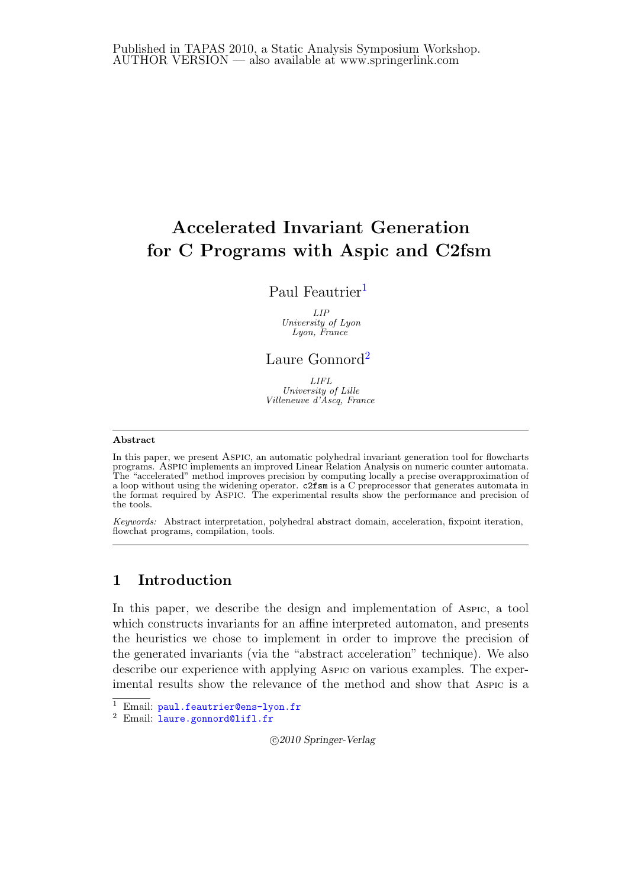# Accelerated Invariant Generation for C Programs with Aspic and C2fsm

# Paul Feautrier<sup>[1](#page-0-0)</sup>

*LIP University of Lyon Lyon, France*

# Laure Gonnord<sup>[2](#page-0-0)</sup>

*LIFL University of Lille Villeneuve d'Ascq, France*

#### <span id="page-0-0"></span>Abstract

In this paper, we present Aspic, an automatic polyhedral invariant generation tool for flowcharts programs. Aspic implements an improved Linear Relation Analysis on numeric counter automata. The "accelerated" method improves precision by computing locally a precise overapproximation of a loop without using the widening operator. c2fsm is a C preprocessor that generates automata in the format required by Aspic. The experimental results show the performance and precision of the tools.

*Keywords:* Abstract interpretation, polyhedral abstract domain, acceleration, fixpoint iteration, flowchat programs, compilation, tools.

# 1 Introduction

In this paper, we describe the design and implementation of Aspic, a tool which constructs invariants for an affine interpreted automaton, and presents the heuristics we chose to implement in order to improve the precision of the generated invariants (via the "abstract acceleration" technique). We also describe our experience with applying Aspic on various examples. The experimental results show the relevance of the method and show that Aspic is a

c 2010 Springer-Verlag

<sup>1</sup> Email: [paul.feautrier@ens-lyon.fr](mailto:paul.feautrier@ens-lyon.fr)

<sup>2</sup> Email: [laure.gonnord@lifl.fr](mailto:laure.gonnord@lifl.fr)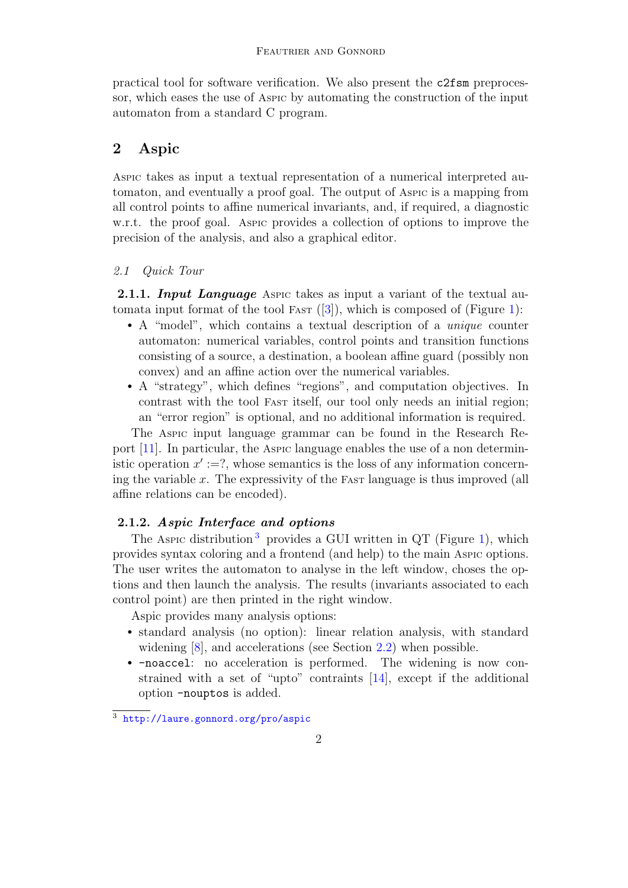practical tool for software verification. We also present the c2fsm preprocessor, which eases the use of Aspic by automating the construction of the input automaton from a standard C program.

# 2 Aspic

Aspic takes as input a textual representation of a numerical interpreted automaton, and eventually a proof goal. The output of Aspic is a mapping from all control points to affine numerical invariants, and, if required, a diagnostic w.r.t. the proof goal. Aspic provides a collection of options to improve the precision of the analysis, and also a graphical editor.

### 2.1 Quick Tour

2.1.1. *Input Language* Aspic takes as input a variant of the textual automata input format of the tool FAST  $([3])$  $([3])$  $([3])$ , which is composed of (Figure [1\)](#page-2-0):

- A "model", which contains a textual description of a unique counter automaton: numerical variables, control points and transition functions consisting of a source, a destination, a boolean affine guard (possibly non convex) and an affine action over the numerical variables.
- A "strategy", which defines "regions", and computation objectives. In contrast with the tool Fast itself, our tool only needs an initial region; an "error region" is optional, and no additional information is required.

The Aspic input language grammar can be found in the Research Report [\[11\]](#page-11-0). In particular, the Aspic language enables the use of a non deterministic operation  $x' := ?$ , whose semantics is the loss of any information concerning the variable x. The expressivity of the Fast language is thus improved (all affine relations can be encoded).

#### 2.1.2. *Aspic Interface and options*

The Aspic distribution<sup>[3](#page-1-0)</sup> provides a GUI written in QT (Figure [1\)](#page-2-0), which provides syntax coloring and a frontend (and help) to the main Aspic options. The user writes the automaton to analyse in the left window, choses the options and then launch the analysis. The results (invariants associated to each control point) are then printed in the right window.

Aspic provides many analysis options:

- standard analysis (no option): linear relation analysis, with standard widening [\[8\]](#page-11-1), and accelerations (see Section [2.2\)](#page-2-1) when possible.
- -noaccel: no acceleration is performed. The widening is now constrained with a set of "upto" contraints [\[14\]](#page-11-2), except if the additional option -nouptos is added.

<span id="page-1-0"></span><sup>3</sup> <http://laure.gonnord.org/pro/aspic>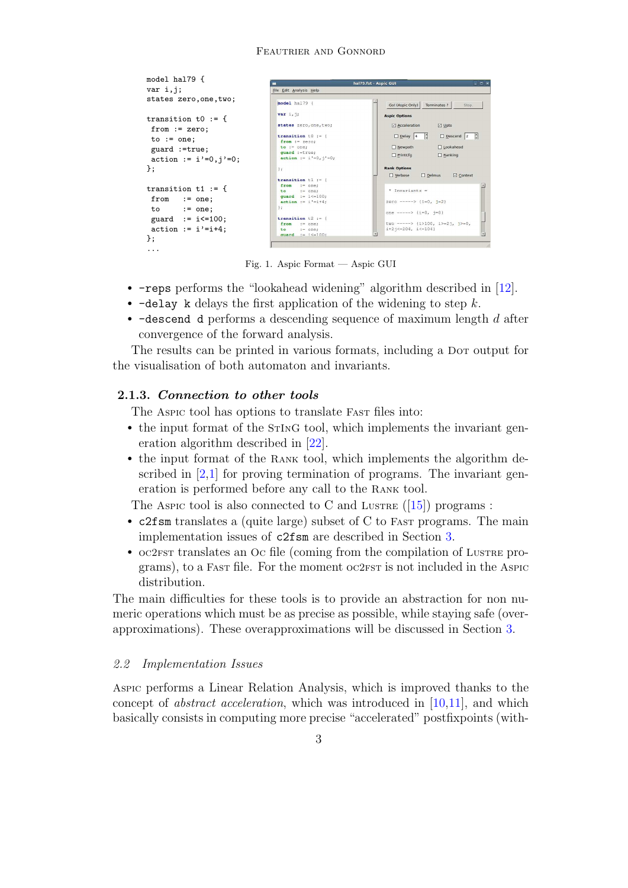#### <span id="page-2-0"></span>Feautrier and Gonnord

| model hal79 f                            |                                                             | $ \Box$ $\times$<br>hal79.fst - Aspic GUI                                            |
|------------------------------------------|-------------------------------------------------------------|--------------------------------------------------------------------------------------|
| $var_i, j;$                              | File Edit Analysis Help                                     |                                                                                      |
| states zero, one, two:                   | model hal79 {                                               | Go! (Aspic Only) Terminates ?<br>Stop.                                               |
| transition t0 := $\{$                    | var 1, j;<br>states zero, one, two;                         | <b>Aspic Options</b><br>Acceleration<br>$\boxdot$ Upto                               |
| $from := zero;$<br>$to := one;$          | transition $t0 := f$                                        | Delay 4<br>Descend 2                                                                 |
| guard :=true;                            | $from := zero;$<br>$to := one;$<br>guard := true;           | $\Box$ Newpath<br>□ Lookahead<br>$\Box$ Ranking<br>PrintCfq                          |
| $action := i' = 0, j' = 0;$              | $action := i' = 0, j' = 0;$                                 |                                                                                      |
| };                                       | $\mathbf{E}$<br>transition $t1 :=$                          | <b>Rank Options</b><br>$\Box$ Verbose<br>$\boxed{\sqrt{ }}$ Context<br>$\Box$ Delmus |
| transition $t1 := f$                     | from :- one;<br>$:= one:$<br>to<br>quard $:= i \times 100;$ | * Invariants =                                                                       |
| from<br>$:=$ one;<br>$\text{to}$ := one; | $action := i' = i + 4;$<br>$\mathbf{r}$                     | zero -----> $\{i=0, 1-2\}$<br>one -----> $\{i=0, 1=0\}$                              |
| guard := $i \le 100$ ;                   | transition $t2 := 1$<br>from<br>$:= one;$                   | two -----> {i>100, i>=21, i>=0,                                                      |
| $action := i' = i+4;$<br>};              | to<br>$:=$ one;<br>quard := $i \le -100$ :                  | $i+2j<=204$ , $i<=104$ }                                                             |
| .                                        |                                                             |                                                                                      |

Fig. 1. Aspic Format — Aspic GUI

- - reps performs the "lookahead widening" algorithm described in [\[12\]](#page-11-3).
- $-delay \, k$  delays the first application of the widening to step k.
- -descend d performs a descending sequence of maximum length d after convergence of the forward analysis.

The results can be printed in various formats, including a Dot output for the visualisation of both automaton and invariants.

#### 2.1.3. *Connection to other tools*

The Aspic tool has options to translate FAST files into:

- the input format of the S<sub>TING</sub> tool, which implements the invariant generation algorithm described in [\[22\]](#page-11-4).
- the input format of the RANK tool, which implements the algorithm described in  $[2,1]$  $[2,1]$  for proving termination of programs. The invariant generation is performed before any call to the Rank tool.

The Aspic tool is also connected to C and Lustre  $([15])$  $([15])$  $([15])$  programs :

- c2fsm translates a (quite large) subset of C to Fast programs. The main implementation issues of c2fsm are described in Section [3.](#page-5-0)
- oc2frst translates an Oc file (coming from the compilation of Lustre programs), to a Fast file. For the moment  $oc2$ FST is not included in the Aspic distribution.

The main difficulties for these tools is to provide an abstraction for non numeric operations which must be as precise as possible, while staying safe (overapproximations). These overapproximations will be discussed in Section [3.](#page-5-0)

#### <span id="page-2-1"></span>2.2 Implementation Issues

Aspic performs a Linear Relation Analysis, which is improved thanks to the concept of abstract acceleration, which was introduced in [\[10](#page-11-6)[,11\]](#page-11-0), and which basically consists in computing more precise "accelerated" postfixpoints (with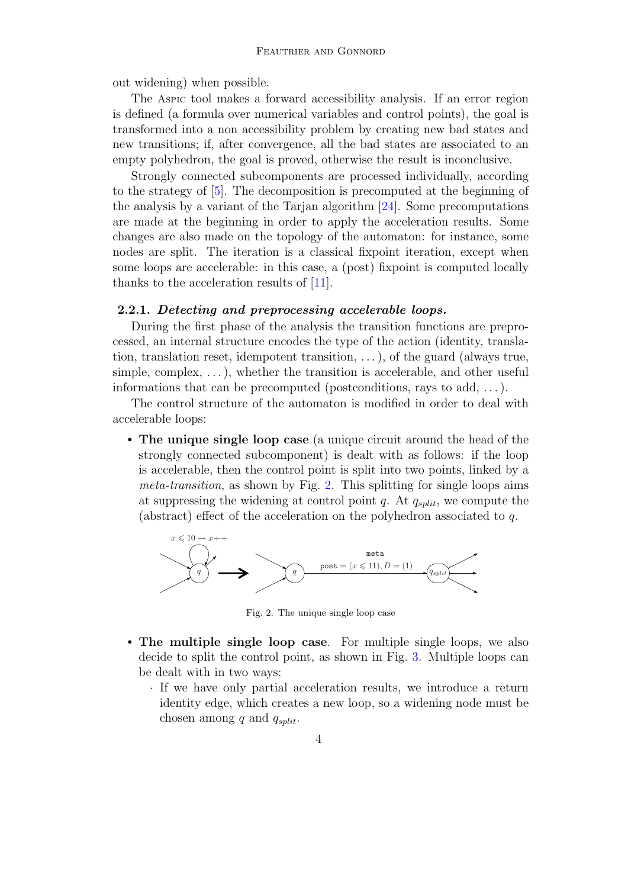out widening) when possible.

The Aspic tool makes a forward accessibility analysis. If an error region is defined (a formula over numerical variables and control points), the goal is transformed into a non accessibility problem by creating new bad states and new transitions; if, after convergence, all the bad states are associated to an empty polyhedron, the goal is proved, otherwise the result is inconclusive.

Strongly connected subcomponents are processed individually, according to the strategy of [\[5\]](#page-10-3). The decomposition is precomputed at the beginning of the analysis by a variant of the Tarjan algorithm [\[24\]](#page-11-7). Some precomputations are made at the beginning in order to apply the acceleration results. Some changes are also made on the topology of the automaton: for instance, some nodes are split. The iteration is a classical fixpoint iteration, except when some loops are accelerable: in this case, a (post) fixpoint is computed locally thanks to the acceleration results of [\[11\]](#page-11-0).

#### 2.2.1. *Detecting and preprocessing accelerable loops.*

During the first phase of the analysis the transition functions are preprocessed, an internal structure encodes the type of the action (identity, translation, translation reset, idempotent transition, . . . ), of the guard (always true, simple, complex,  $\dots$ ), whether the transition is accelerable, and other useful informations that can be precomputed (postconditions, rays to add,  $\dots$ ).

The control structure of the automaton is modified in order to deal with accelerable loops:

• The unique single loop case (a unique circuit around the head of the strongly connected subcomponent) is dealt with as follows: if the loop is accelerable, then the control point is split into two points, linked by a meta-transition, as shown by Fig. [2.](#page-3-0) This splitting for single loops aims at suppressing the widening at control point q. At  $q_{split}$ , we compute the (abstract) effect of the acceleration on the polyhedron associated to q.



<span id="page-3-0"></span>Fig. 2. The unique single loop case

- The multiple single loop case. For multiple single loops, we also decide to split the control point, as shown in Fig. [3.](#page-4-0) Multiple loops can be dealt with in two ways:
	- · If we have only partial acceleration results, we introduce a return identity edge, which creates a new loop, so a widening node must be chosen among  $q$  and  $q_{split}$ .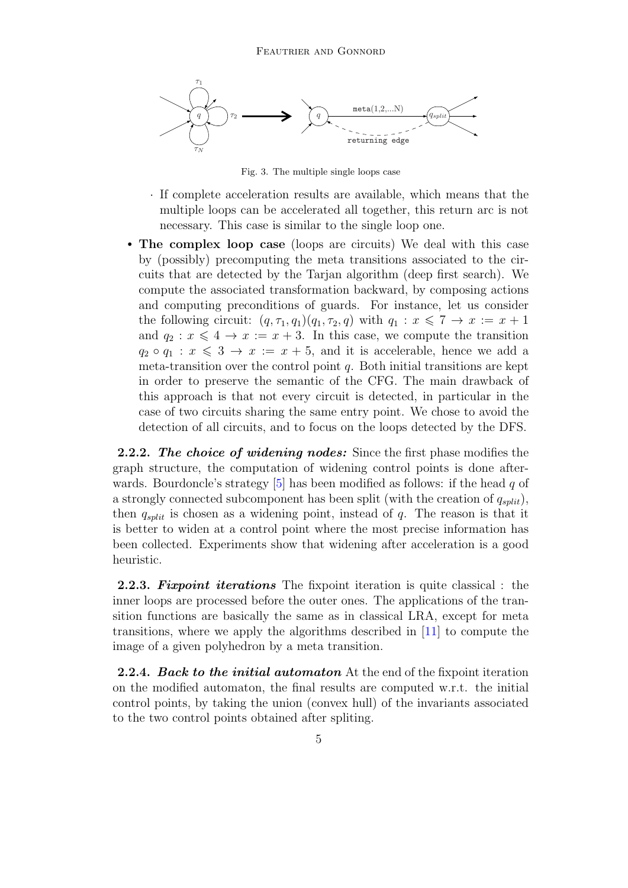

<span id="page-4-0"></span>Fig. 3. The multiple single loops case

- · If complete acceleration results are available, which means that the multiple loops can be accelerated all together, this return arc is not necessary. This case is similar to the single loop one.
- The complex loop case (loops are circuits) We deal with this case by (possibly) precomputing the meta transitions associated to the circuits that are detected by the Tarjan algorithm (deep first search). We compute the associated transformation backward, by composing actions and computing preconditions of guards. For instance, let us consider the following circuit:  $(q, \tau_1, q_1)(q_1, \tau_2, q)$  with  $q_1 : x \leq 7 \rightarrow x := x + 1$ and  $q_2 : x \leq 4 \rightarrow x := x + 3$ . In this case, we compute the transition  $q_2 \circ q_1 : x \leq 3 \rightarrow x := x + 5$ , and it is accelerable, hence we add a meta-transition over the control point  $q$ . Both initial transitions are kept in order to preserve the semantic of the CFG. The main drawback of this approach is that not every circuit is detected, in particular in the case of two circuits sharing the same entry point. We chose to avoid the detection of all circuits, and to focus on the loops detected by the DFS.

2.2.2. *The choice of widening nodes:* Since the first phase modifies the graph structure, the computation of widening control points is done afterwards. Bourdoncle's strategy  $[5]$  has been modified as follows: if the head q of a strongly connected subcomponent has been split (with the creation of  $q_{split}$ ), then  $q_{split}$  is chosen as a widening point, instead of q. The reason is that it is better to widen at a control point where the most precise information has been collected. Experiments show that widening after acceleration is a good heuristic.

2.2.3. *Fixpoint iterations* The fixpoint iteration is quite classical : the inner loops are processed before the outer ones. The applications of the transition functions are basically the same as in classical LRA, except for meta transitions, where we apply the algorithms described in [\[11\]](#page-11-0) to compute the image of a given polyhedron by a meta transition.

2.2.4. *Back to the initial automaton* At the end of the fixpoint iteration on the modified automaton, the final results are computed w.r.t. the initial control points, by taking the union (convex hull) of the invariants associated to the two control points obtained after spliting.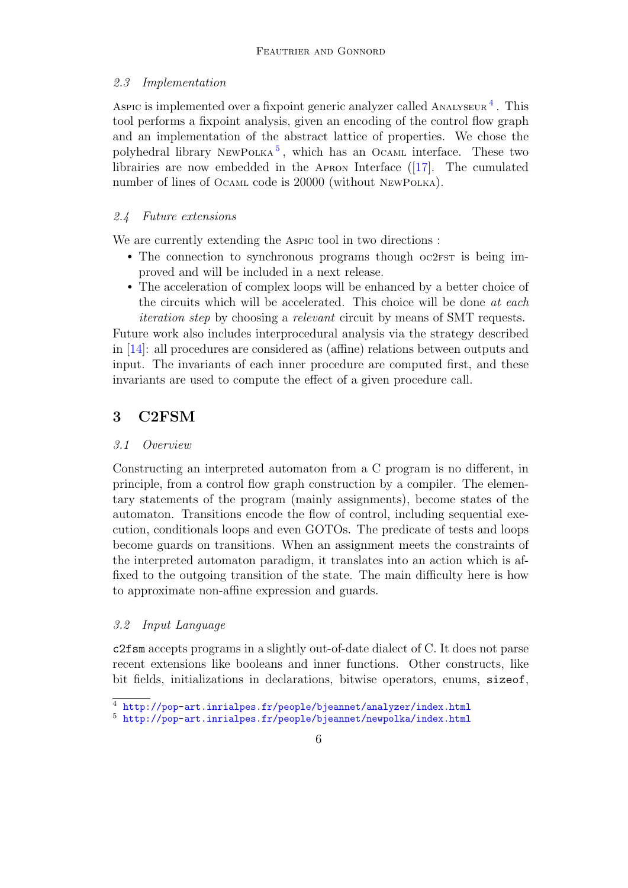### 2.3 Implementation

Aspic is implemented over a fixpoint generic analyzer called ANALYSEUR<sup>[4](#page-5-1)</sup>. This tool performs a fixpoint analysis, given an encoding of the control flow graph and an implementation of the abstract lattice of properties. We chose the polyhedral library NEWPOLKA<sup>[5](#page-5-2)</sup>, which has an Осами interface. These two librairies are now embedded in the Apron Interface ([\[17\]](#page-11-8). The cumulated number of lines of Ocaml code is 20000 (without NewPolka).

## 2.4 Future extensions

We are currently extending the Aspic tool in two directions :

- The connection to synchronous programs though oc2FST is being improved and will be included in a next release.
- The acceleration of complex loops will be enhanced by a better choice of the circuits which will be accelerated. This choice will be done at each iteration step by choosing a relevant circuit by means of SMT requests.

Future work also includes interprocedural analysis via the strategy described in [\[14\]](#page-11-2): all procedures are considered as (affine) relations between outputs and input. The invariants of each inner procedure are computed first, and these invariants are used to compute the effect of a given procedure call.

# <span id="page-5-0"></span>3 C2FSM

#### 3.1 Overview

Constructing an interpreted automaton from a C program is no different, in principle, from a control flow graph construction by a compiler. The elementary statements of the program (mainly assignments), become states of the automaton. Transitions encode the flow of control, including sequential execution, conditionals loops and even GOTOs. The predicate of tests and loops become guards on transitions. When an assignment meets the constraints of the interpreted automaton paradigm, it translates into an action which is affixed to the outgoing transition of the state. The main difficulty here is how to approximate non-affine expression and guards.

### 3.2 Input Language

c2fsm accepts programs in a slightly out-of-date dialect of C. It does not parse recent extensions like booleans and inner functions. Other constructs, like bit fields, initializations in declarations, bitwise operators, enums, sizeof,

<span id="page-5-1"></span><sup>4</sup> <http://pop-art.inrialpes.fr/people/bjeannet/analyzer/index.html>

<span id="page-5-2"></span><sup>5</sup> <http://pop-art.inrialpes.fr/people/bjeannet/newpolka/index.html>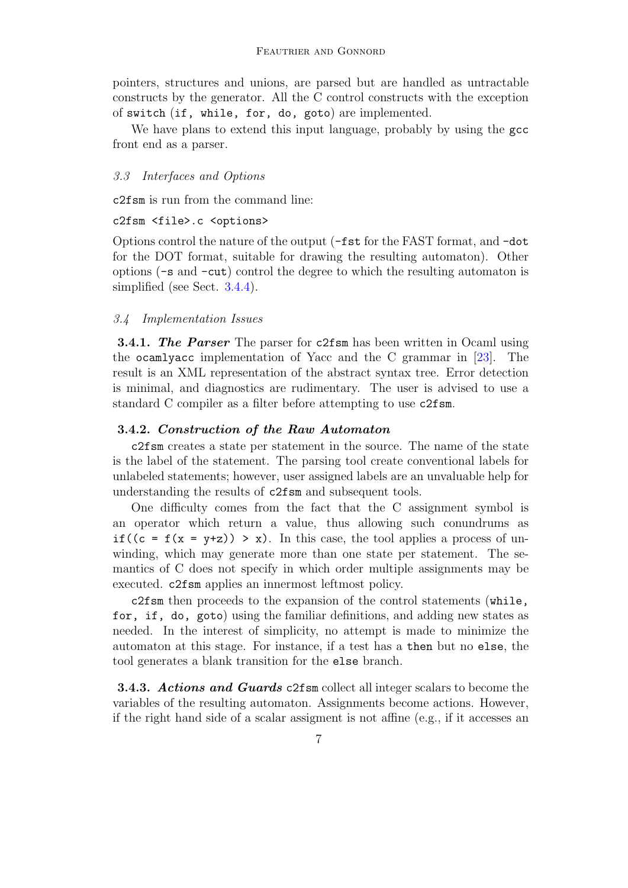pointers, structures and unions, are parsed but are handled as untractable constructs by the generator. All the C control constructs with the exception of switch (if, while, for, do, goto) are implemented.

We have plans to extend this input language, probably by using the gcc front end as a parser.

#### 3.3 Interfaces and Options

c2fsm is run from the command line:

#### c2fsm <file>.c <options>

Options control the nature of the output (-fst for the FAST format, and -dot for the DOT format, suitable for drawing the resulting automaton). Other options (-s and -cut) control the degree to which the resulting automaton is simplified (see Sect. [3.4.4\)](#page-7-0).

#### 3.4 Implementation Issues

3.4.1. *The Parser* The parser for c2fsm has been written in Ocaml using the ocamlyacc implementation of Yacc and the C grammar in [\[23\]](#page-11-9). The result is an XML representation of the abstract syntax tree. Error detection is minimal, and diagnostics are rudimentary. The user is advised to use a standard C compiler as a filter before attempting to use c2fsm.

#### 3.4.2. *Construction of the Raw Automaton*

c2fsm creates a state per statement in the source. The name of the state is the label of the statement. The parsing tool create conventional labels for unlabeled statements; however, user assigned labels are an unvaluable help for understanding the results of c2fsm and subsequent tools.

One difficulty comes from the fact that the C assignment symbol is an operator which return a value, thus allowing such conundrums as if((c = f(x = y+z)) > x). In this case, the tool applies a process of unwinding, which may generate more than one state per statement. The semantics of C does not specify in which order multiple assignments may be executed. c2fsm applies an innermost leftmost policy.

c2fsm then proceeds to the expansion of the control statements (while, for, if, do, goto) using the familiar definitions, and adding new states as needed. In the interest of simplicity, no attempt is made to minimize the automaton at this stage. For instance, if a test has a then but no else, the tool generates a blank transition for the else branch.

3.4.3. *Actions and Guards* c2fsm collect all integer scalars to become the variables of the resulting automaton. Assignments become actions. However, if the right hand side of a scalar assigment is not affine (e.g., if it accesses an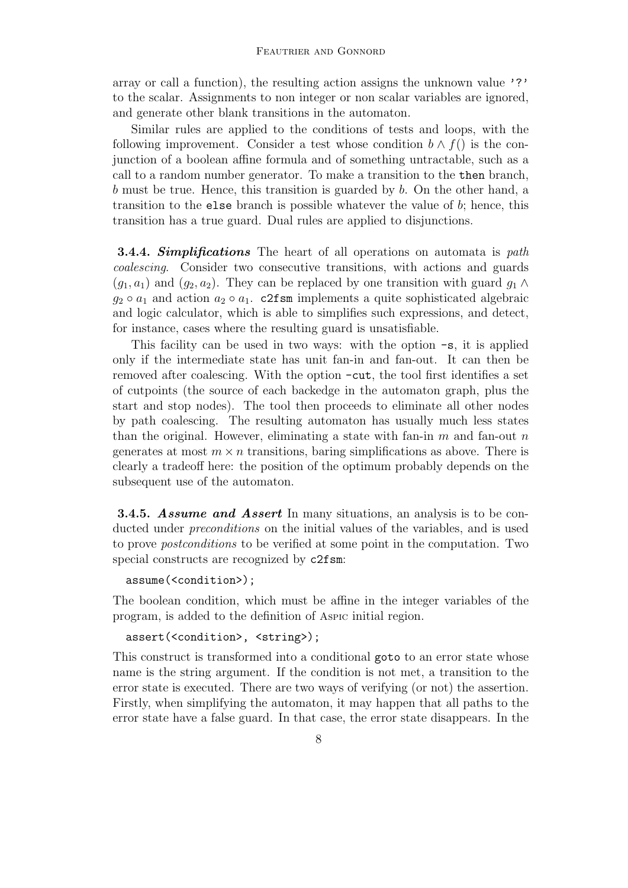array or call a function), the resulting action assigns the unknown value '?' to the scalar. Assignments to non integer or non scalar variables are ignored, and generate other blank transitions in the automaton.

Similar rules are applied to the conditions of tests and loops, with the following improvement. Consider a test whose condition  $b \wedge f()$  is the conjunction of a boolean affine formula and of something untractable, such as a call to a random number generator. To make a transition to the then branch, b must be true. Hence, this transition is guarded by b. On the other hand, a transition to the else branch is possible whatever the value of b; hence, this transition has a true guard. Dual rules are applied to disjunctions.

<span id="page-7-0"></span>3.4.4. *Simplifications* The heart of all operations on automata is path coalescing. Consider two consecutive transitions, with actions and guards  $(g_1, a_1)$  and  $(g_2, a_2)$ . They can be replaced by one transition with guard  $g_1 \wedge$  $g_2 \circ a_1$  and action  $a_2 \circ a_1$ . c2fsm implements a quite sophisticated algebraic and logic calculator, which is able to simplifies such expressions, and detect, for instance, cases where the resulting guard is unsatisfiable.

This facility can be used in two ways: with the option -s, it is applied only if the intermediate state has unit fan-in and fan-out. It can then be removed after coalescing. With the option -cut, the tool first identifies a set of cutpoints (the source of each backedge in the automaton graph, plus the start and stop nodes). The tool then proceeds to eliminate all other nodes by path coalescing. The resulting automaton has usually much less states than the original. However, eliminating a state with fan-in  $m$  and fan-out  $n$ generates at most  $m \times n$  transitions, baring simplifications as above. There is clearly a tradeoff here: the position of the optimum probably depends on the subsequent use of the automaton.

3.4.5. *Assume and Assert* In many situations, an analysis is to be conducted under *preconditions* on the initial values of the variables, and is used to prove postconditions to be verified at some point in the computation. Two special constructs are recognized by  $c2f$ sm:

```
assume(<condition>);
```
The boolean condition, which must be affine in the integer variables of the program, is added to the definition of Aspic initial region.

```
assert(<condition>, <string>);
```
This construct is transformed into a conditional goto to an error state whose name is the string argument. If the condition is not met, a transition to the error state is executed. There are two ways of verifying (or not) the assertion. Firstly, when simplifying the automaton, it may happen that all paths to the error state have a false guard. In that case, the error state disappears. In the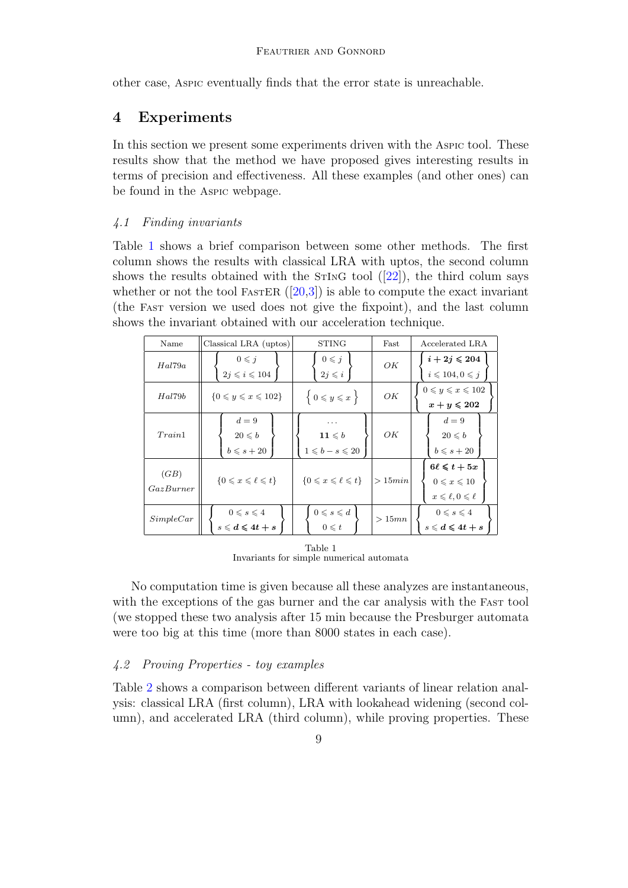other case, Aspic eventually finds that the error state is unreachable.

# 4 Experiments

In this section we present some experiments driven with the Aspic tool. These results show that the method we have proposed gives interesting results in terms of precision and effectiveness. All these examples (and other ones) can be found in the Aspic webpage.

#### 4.1 Finding invariants

Table [1](#page-8-0) shows a brief comparison between some other methods. The first column shows the results with classical LRA with uptos, the second column shows the results obtained with the  $STING$  tool ([\[22\]](#page-11-4)), the third colum says whether or not the tool FASTER  $([20,3])$  $([20,3])$  $([20,3])$  $([20,3])$  is able to compute the exact invariant (the Fast version we used does not give the fixpoint), and the last column shows the invariant obtained with our acceleration technique.

| Name              | Classical LRA (uptos)                                         | <b>STING</b>                                          | $\rm Fast$ | Accelerated LRA                                                                                |
|-------------------|---------------------------------------------------------------|-------------------------------------------------------|------------|------------------------------------------------------------------------------------------------|
| Hal79a            | $0 \leq i$<br>$2j \leqslant i \leqslant 104$                  | $0 \leq i$<br>$2j\leqslant i$                         | OК         | $i+2j\leqslant 204$<br>$i \leqslant 104, 0 \leqslant i$                                        |
| Hal79b            | ${0 \leqslant y \leqslant x \leqslant 102}$                   | $\left\{ 0 \leqslant y \leqslant x \right. \right\}$  | ΟK         | $0 \leqslant y \leqslant x \leqslant 102$<br>$x+y\leqslant 202$                                |
| Train1            | $d=9$<br>$20 \leqslant b$<br>$b \leqslant s + 20$             | .<br>${\bf 11}\leqslant b$<br>$1\leq b-s\leqslant 20$ | OК         | $d=9$<br>$20 \leq b$<br>$b \leqslant s + 20$                                                   |
| (GB)<br>GazBurner | $\{0 \leqslant x \leqslant \ell \leqslant t\}$                | $\{0 \leqslant x \leqslant \ell \leqslant t\}$        | > 15min    | $6\ell \leqslant t+5x$<br>$0 \leqslant x \leqslant 10$<br>$x \leqslant \ell, 0 \leqslant \ell$ |
| SimpleCar         | $0\leqslant s\leqslant 4$<br>$s \leqslant d \leqslant 4t + s$ | $0\leqslant s\leqslant d$<br>$0 \leq t$               | >15mn      | $0 \leqslant s \leqslant 4$<br>$s \leqslant d \leqslant 4t + s$                                |

Table 1 Invariants for simple numerical automata

<span id="page-8-0"></span>No computation time is given because all these analyzes are instantaneous, with the exceptions of the gas burner and the car analysis with the FAST tool (we stopped these two analysis after 15 min because the Presburger automata were too big at this time (more than 8000 states in each case).

### 4.2 Proving Properties - toy examples

Table [2](#page-9-0) shows a comparison between different variants of linear relation analysis: classical LRA (first column), LRA with lookahead widening (second column), and accelerated LRA (third column), while proving properties. These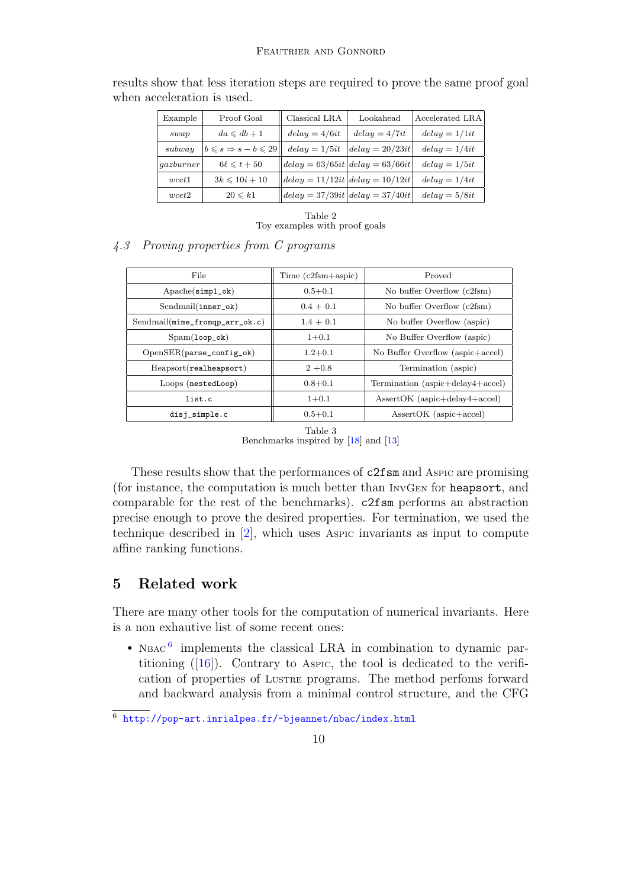#### Feautrier and Gonnord

| Example   | Proof Goal                                     | Classical LRA                                          | Lookahead                                              | Accelerated LRA |
|-----------|------------------------------------------------|--------------------------------------------------------|--------------------------------------------------------|-----------------|
| swap      | $da \leq db + 1$                               | $delay = 4/6it$                                        | $delay = 4/7it$                                        | $delay = 1/1it$ |
| subway    | $b \leqslant s \Rightarrow s - b \leqslant 29$ | $delay = 1/5it$                                        | $delay = 20/23it$                                      | $delay = 1/4it$ |
| qazburner | $6\ell \leq t+50$                              | $\left  \frac{delay}{63/65it} \right $ delay = 63/66it |                                                        | $delay = 1/5it$ |
| wcet1     | $3k \le 10i + 10$                              | $\left  delay = 11/12it \right  delay = 10/12it$       |                                                        | $delay = 1/4it$ |
| wcet2     | $20 \leq k1$                                   |                                                        | $\left delay = 37/39it\right $ delay = 37/40 <i>it</i> | $delay = 5/8it$ |

results show that less iteration steps are required to prove the same proof goal when acceleration is used.

Table 2 Toy examples with proof goals

### <span id="page-9-0"></span>4.3 Proving properties from C programs

| File                                     | $Time (c2fsm+aspic)$ | Proved                                 |
|------------------------------------------|----------------------|----------------------------------------|
| $\text{Apache}(\text{simp1}\_\text{ok})$ | $0.5 + 0.1$          | No buffer Overflow (c2fsm)             |
| $Sendmail(inner_ok)$                     | $0.4 + 0.1$          | No buffer Overflow (c2fsm)             |
| $Sendmail(mime\_fromqp\_arr\_ok.c)$      | $1.4 + 0.1$          | No buffer Overflow (aspic)             |
| $Span(loop_ok)$                          | $1+0.1$              | No Buffer Overflow (aspic)             |
| $OpenSER(parse\_config\_ok)$             | $1.2 + 0.1$          | No Buffer Overflow (aspic+accel)       |
| Heapsort(realheapsort)                   | $2+0.8$              | Termination (aspic)                    |
| Loops (nestedLoop)                       | $0.8 + 0.1$          | Termination (aspic+delay4+accel)       |
| list.c                                   | $1+0.1$              | $\text{assertOK}$ (aspic+delay4+accel) |
| disj_simple.c                            | $0.5 + 0.1$          | $\text{assertOK}$ (aspic+accel)        |

Table 3 Benchmarks inspired by [\[18\]](#page-11-11) and [\[13\]](#page-11-12)

These results show that the performances of c2fsm and Aspic are promising (for instance, the computation is much better than InvGen for heapsort, and comparable for the rest of the benchmarks). c2fsm performs an abstraction precise enough to prove the desired properties. For termination, we used the technique described in  $[2]$ , which uses Aspic invariants as input to compute affine ranking functions.

# 5 Related work

There are many other tools for the computation of numerical invariants. Here is a non exhautive list of some recent ones:

• NBAC  $^6$  $^6$  implements the classical LRA in combination to dynamic partitioning  $([16])$  $([16])$  $([16])$ . Contrary to Aspic, the tool is dedicated to the verification of properties of Lustre programs. The method perfoms forward and backward analysis from a minimal control structure, and the CFG

<span id="page-9-1"></span> $\frac{6 \text{ http://pop-art.inrialpes.fr/~bjeannet/hbac/index.html}}{6 \text{ http://pop-art.inrialpes.fr/~bjeannet/hbac/index.html}}$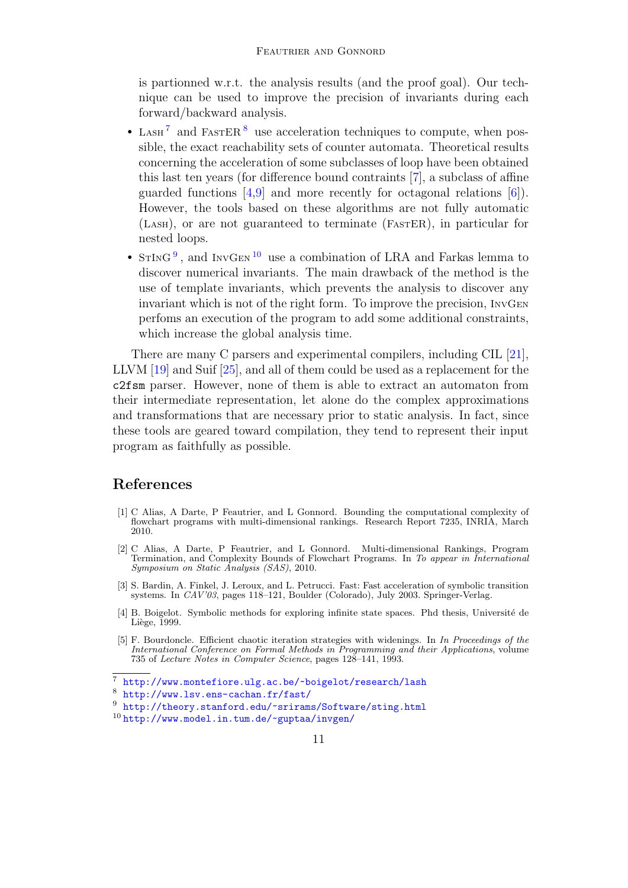is partionned w.r.t. the analysis results (and the proof goal). Our technique can be used to improve the precision of invariants during each forward/backward analysis.

- LASH<sup>[7](#page-10-4)</sup> and FASTER<sup>[8](#page-10-5)</sup> use acceleration techniques to compute, when possible, the exact reachability sets of counter automata. Theoretical results concerning the acceleration of some subclasses of loop have been obtained this last ten years (for difference bound contraints [\[7\]](#page-11-14), a subclass of affine guarded functions [\[4](#page-10-6)[,9\]](#page-11-15) and more recently for octagonal relations [\[6\]](#page-11-16)). However, the tools based on these algorithms are not fully automatic (Lash), or are not guaranteed to terminate (FastER), in particular for nested loops.
- $STING<sup>9</sup>$  $STING<sup>9</sup>$  $STING<sup>9</sup>$ , and InvGen<sup>[10](#page-10-8)</sup> use a combination of LRA and Farkas lemma to discover numerical invariants. The main drawback of the method is the use of template invariants, which prevents the analysis to discover any invariant which is not of the right form. To improve the precision, InvGen perfoms an execution of the program to add some additional constraints, which increase the global analysis time.

There are many C parsers and experimental compilers, including CIL [\[21\]](#page-11-17), LLVM [\[19\]](#page-11-18) and Suif [\[25\]](#page-11-19), and all of them could be used as a replacement for the c2fsm parser. However, none of them is able to extract an automaton from their intermediate representation, let alone do the complex approximations and transformations that are necessary prior to static analysis. In fact, since these tools are geared toward compilation, they tend to represent their input program as faithfully as possible.

# References

- <span id="page-10-2"></span>[1] C Alias, A Darte, P Feautrier, and L Gonnord. Bounding the computational complexity of flowchart programs with multi-dimensional rankings. Research Report 7235, INRIA, March 2010.
- <span id="page-10-1"></span>[2] C Alias, A Darte, P Feautrier, and L Gonnord. Multi-dimensional Rankings, Program Termination, and Complexity Bounds of Flowchart Programs. In *To appear in International Symposium on Static Analysis (SAS)*, 2010.
- <span id="page-10-0"></span>[3] S. Bardin, A. Finkel, J. Leroux, and L. Petrucci. Fast: Fast acceleration of symbolic transition systems. In *CAV'03*, pages 118–121, Boulder (Colorado), July 2003. Springer-Verlag.
- <span id="page-10-6"></span>[4] B. Boigelot. Symbolic methods for exploring infinite state spaces. Phd thesis, Université de Liège, 1999.
- <span id="page-10-3"></span>[5] F. Bourdoncle. Efficient chaotic iteration strategies with widenings. In *In Proceedings of the International Conference on Formal Methods in Programming and their Applications*, volume 735 of *Lecture Notes in Computer Science*, pages 128–141, 1993.

<span id="page-10-4"></span> $\overline{7}$ <http://www.montefiore.ulg.ac.be/~boigelot/research/lash>

<span id="page-10-5"></span><sup>8</sup> <http://www.lsv.ens-cachan.fr/fast/>

<span id="page-10-7"></span><sup>9</sup> <http://theory.stanford.edu/~srirams/Software/sting.html>

<span id="page-10-8"></span><sup>10</sup> <http://www.model.in.tum.de/~guptaa/invgen/>